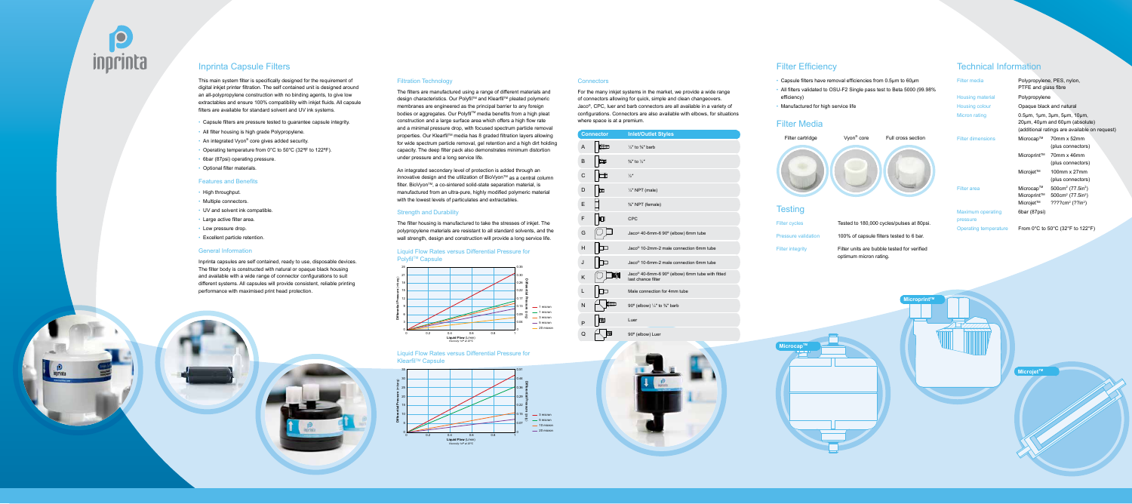

### Inprinta Capsule Filters

This main system filter is specifically designed for the requirement of digital inkjet printer filtration. The self contained unit is designed around an all-polypropylene construction with no binding agents, to give low extractables and ensure 100% compatibility with inkjet fluids. All capsule filters are available for standard solvent and UV ink systems.

- Capsule filters are pressure tested to guarantee capsule integrity.
- All filter housing is high grade Polypropylene.
- An integrated Vyon® core gives added security.
- Operating temperature from 0°C to 50°C (32ºF to 122ºF).
- 6bar (87psi) operating pressure.
- Optional filter materials.

#### Features and Benefits

- High throughput.
- Multiple connectors.
- UV and solvent ink compatible.
- Large active filter area.
- Low pressure drop.
- Excellent particle retention.

### General Information

Inprinta capsules are self contained, ready to use, disposable devices. The filter body is constructed with natural or opaque black housing and available with a wide range of connector configurations to suit different systems. All capsules will provide consistent, reliable printing performance with maximised print head protection.

For the many inkjet systems in the market, we provide a wide range of connectors allowing for quick, simple and clean changeovers. Jaco®, CPC, luer and barb connectors are all available in a variety of configurations. Connectors are also available with elbows, for situations where space is at a premium.

### Liquid Flow Rates versus Differential Pressure for **Polyfil™ Capsule**

Liquid Flow Rates versus Differential Pressure for Klearfil<sup>™</sup> Capsule

#### Filtration Technology

The filters are manufactured using a range of different materials and design characteristics. Our Polyfil™ and Klearfil™ pleated polymeric membranes are engineered as the principal barrier to any foreign bodies or aggregates. Our Polyfil™ media benefits from a high pleat construction and a large surface area which offers a high flow rate and a minimal pressure drop, with focused spectrum particle removal properties. Our Klearfil™ media has 8 graded filtration layers allowing for wide spectrum particle removal, gel retention and a high dirt holding capacity. The deep filter pack also demonstrates minimum distortion under pressure and a long service life.

An integrated secondary level of protection is added through an innovative design and the utilization of BioVyon™ as a central column filter. BioVyon™, a co-sintered solid-state separation material, is manufactured from an ultra-pure, highly modified polymeric material with the lowest levels of particulates and extractables.

### Strength and Durability

The filter housing is manufactured to take the stresses of inkjet. The polypropylene materials are resistant to all standard solvents, and the wall strength, design and construction will provide a long service life.





#### **Connectors**

### Technical Information

|   | <b>Connector</b> | <b>Inlet/Outlet Styles</b>                                                        |
|---|------------------|-----------------------------------------------------------------------------------|
| A |                  | $\frac{1}{4}$ " to $\frac{3}{8}$ " barb                                           |
| B | ₪                | $\frac{3}{8}$ " to $\frac{1}{2}$ "                                                |
| C | Ï                | $\frac{1}{2}$ "                                                                   |
| D | m                | $\frac{1}{4}$ " NPT (male)                                                        |
| F |                  | %" NPT (female)                                                                   |
| F | $\blacksquare$   | <b>CPC</b>                                                                        |
| G |                  | Jaco <sup>®</sup> 40-6mm-6 90° (elbow) 6mm tube                                   |
| н |                  | Jaco <sup>®</sup> 10-2mm-2 male connection 6mm tube                               |
| J |                  | Jaco <sup>®</sup> 10-6mm-2 male connection 6mm tube                               |
| K |                  | Jaco <sup>®</sup> 40-6mm-6 90° (elbow) 6mm tube with fitted<br>last chance filter |
| L |                  | Male connection for 4mm tube                                                      |
| N | 山工               | 90 $^{\circ}$ (elbow) $\frac{1}{4}$ " to $\frac{3}{8}$ " barb                     |
| P | M                | Luer                                                                              |
| Q | W                | 90° (elbow) Luer                                                                  |

### **Filter Efficiency**

| <b>Filter media</b>                  | PTFE and glass fibre                  | Polypropylene, PES, nylon,                                                                                                                  |
|--------------------------------------|---------------------------------------|---------------------------------------------------------------------------------------------------------------------------------------------|
| Housing material                     | Polypropylene                         |                                                                                                                                             |
| Housing colour                       | Opaque black and natural              |                                                                                                                                             |
| Micron rating                        |                                       | $0.5\mu$ m, 1 $\mu$ m, 3 $\mu$ m, 5 $\mu$ m, 10 $\mu$ m,<br>20um, 40um and 60um (absolute)<br>(additional ratings are available on request) |
| <b>Filter dimensions</b>             | Microcap™                             | 70mm x 52mm<br>(plus connectors)                                                                                                            |
|                                      | Microprint™                           | 70mm x 46mm<br>(plus connectors)                                                                                                            |
|                                      | Microjet™                             | 100mm x 27mm<br>(plus connectors)                                                                                                           |
| <b>Filter</b> area                   | Microcap™<br>Microprint™<br>Microjet™ | 500cm <sup>2</sup> (77.5in <sup>2</sup> )<br>500cm <sup>2</sup> (77.5in <sup>2</sup> )<br>$????cm²$ (??in <sup>2</sup> )                    |
| <b>Maximum operating</b><br>pressure | 6bar (87psi)                          |                                                                                                                                             |
| <b>Operating temperature</b>         |                                       | From 0°C to 50°C (32°F to 122°F)                                                                                                            |

- Capsule filters have removal efficiencies from 0.5µm to 60µm
- All filters validated to OSU-F2 Single pass test to Beta 5000 (99.98% efficiency)
- Manufactured for high service life

### Filter Media



Filter integrity **Filter units are bubble tested for verified** 

optimum micron rating.

**MicrocapTM**

**MicroprintTM**

**MicrojetTM**